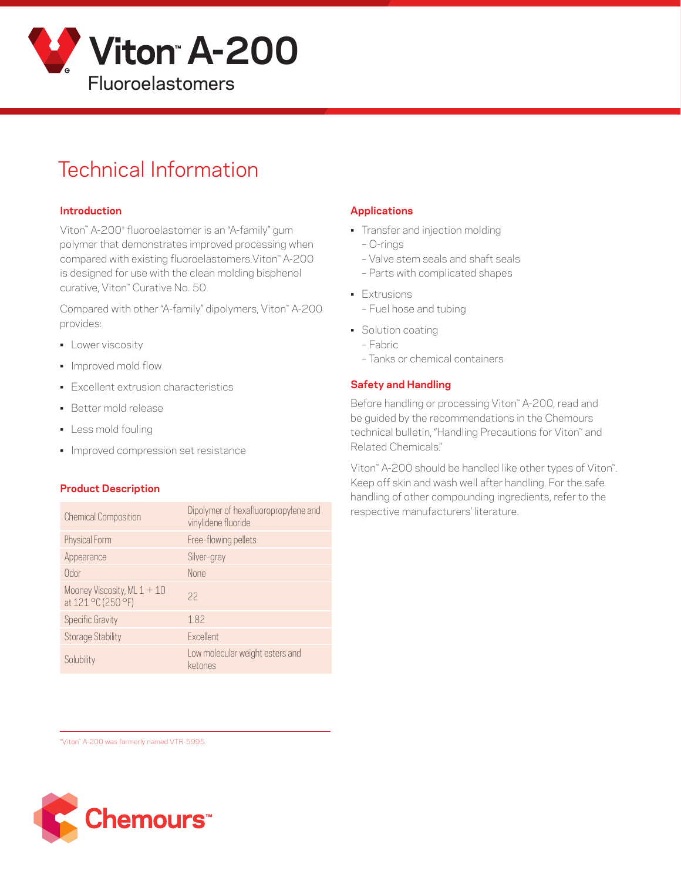

# Technical Information

### **Introduction**

Viton™ A-200\* fluoroelastomer is an "A-family" gum polymer that demonstrates improved processing when compared with existing fluoroelastomers.Viton™ A-200 is designed for use with the clean molding bisphenol curative, Viton™ Curative No. 50.

Compared with other "A-family" dipolymers, Viton™ A-200 provides:

- **•** Lower viscosity
- Improved mold flow
- Excellent extrusion characteristics
- Better mold release
- Less mold fouling
- Improved compression set resistance

#### **Product Description**

| <b>Chemical Composition</b>                         | Dipolymer of hexafluoropropylene and<br>vinylidene fluoride |
|-----------------------------------------------------|-------------------------------------------------------------|
| Physical Form                                       | Free-flowing pellets                                        |
| Appearance                                          | Silver-gray                                                 |
| Odor                                                | <b>None</b>                                                 |
| Mooney Viscosity, ML $1 + 10$<br>at 121 °C (250 °F) | 22                                                          |
| <b>Specific Gravity</b>                             | 1.82                                                        |
| <b>Storage Stability</b>                            | <b>Fxcellent</b>                                            |
| Solubility                                          | Low molecular weight esters and<br>ketones                  |

# **Applications**

- Transfer and injection molding
	- O-rings
	- Valve stem seals and shaft seals
	- Parts with complicated shapes
- Extrusions – Fuel hose and tubing
- Solution coating
	- Fabric
	- Tanks or chemical containers

# **Safety and Handling**

Before handling or processing Viton™ A-200, read and be guided by the recommendations in the Chemours technical bulletin, "Handling Precautions for Viton™ and Related Chemicals."

Viton™ A-200 should be handled like other types of Viton™. Keep off skin and wash well after handling. For the safe handling of other compounding ingredients, refer to the respective manufacturers' literature.

\*Viton™ A-200 was formerly named VTR-5995.

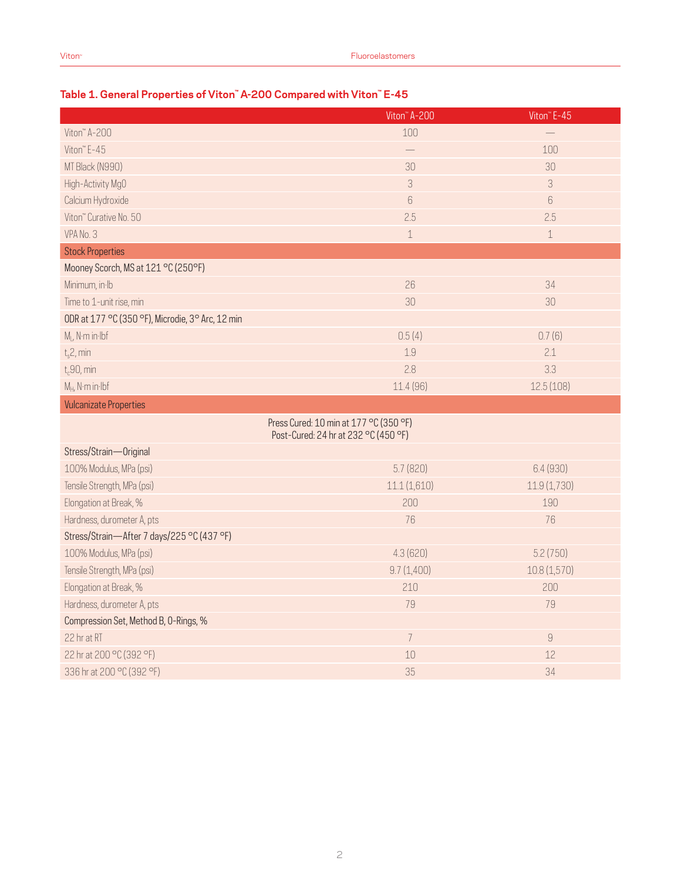# **Table 1. General Properties of Viton™ A-200 Compared with Viton™ E-45**

|                                                  | Viton <sup>"</sup> A-200                                                       | Viton <sup>™</sup> E-45 |
|--------------------------------------------------|--------------------------------------------------------------------------------|-------------------------|
| Viton" A-200                                     | 100                                                                            |                         |
| Viton" E-45                                      |                                                                                | 100                     |
| MT Black (N990)                                  | 30                                                                             | 30                      |
| High-Activity MgO                                | $\ensuremath{\mathsf{3}}$                                                      | 3                       |
| Calcium Hydroxide                                | $6\phantom{.}6$                                                                | 6                       |
| Viton" Curative No. 50                           | 2.5                                                                            | 2.5                     |
| VPA No. 3                                        | $\mathbf 1$                                                                    | $\mathbf 1$             |
| <b>Stock Properties</b>                          |                                                                                |                         |
| Mooney Scorch, MS at 121 °C (250°F)              |                                                                                |                         |
| Minimum, in Ib                                   | 26                                                                             | 34                      |
| Time to 1-unit rise, min                         | 30                                                                             | 30                      |
| ODR at 177 °C (350 °F), Microdie, 3° Arc, 12 min |                                                                                |                         |
| $M1$ , N·m in·lbf                                | 0.5(4)                                                                         | 0.7(6)                  |
| $t_s$ 2, min                                     | 1.9                                                                            | 2.1                     |
| $t_c$ 90, min                                    | 2.8                                                                            | 3.3                     |
| $M_H$ , N·m in·lbf                               | 11.4 (96)                                                                      | 12.5(108)               |
| <b>Vulcanizate Properties</b>                    |                                                                                |                         |
|                                                  | Press Cured: 10 min at 177 °C (350 °F)<br>Post-Cured: 24 hr at 232 °C (450 °F) |                         |
| Stress/Strain-Original                           |                                                                                |                         |
| 100% Modulus, MPa (psi)                          | 5.7(820)                                                                       | 6.4(930)                |
| Tensile Strength, MPa (psi)                      | 11.1(1,610)                                                                    | 11.9 (1,730)            |
| Elongation at Break, %                           | 200                                                                            | 190                     |
| Hardness, durometer A, pts                       | 76                                                                             | 76                      |
| Stress/Strain-After 7 days/225 °C (437 °F)       |                                                                                |                         |
| 100% Modulus, MPa (psi)                          | 4.3(620)                                                                       | 5.2(750)                |
| Tensile Strength, MPa (psi)                      | 9.7(1,400)                                                                     | 10.8(1,570)             |
| Elongation at Break, %                           | 210                                                                            | 200                     |
| Hardness, durometer A, pts                       | 79                                                                             | 79                      |
| Compression Set, Method B, O-Rings, %            |                                                                                |                         |
| 22 hr at RT                                      | $\overline{7}$                                                                 | $\,9$                   |
| 22 hr at 200 °C (392 °F)                         | 10                                                                             | 12                      |
| 336 hr at 200 °C (392 °F)                        | 35                                                                             | 34                      |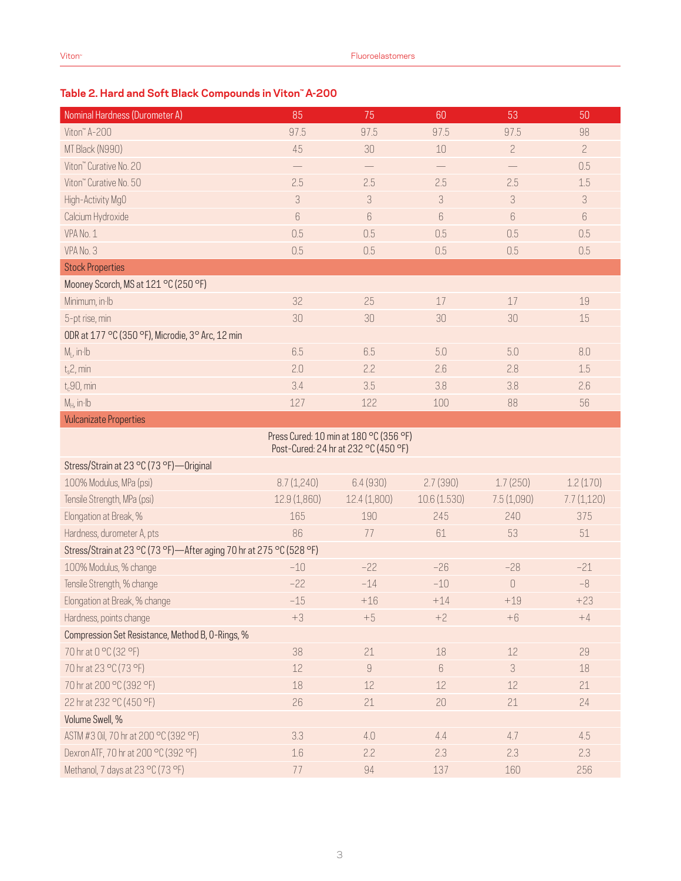# **Table 2. Hard and Soft Black Compounds in Viton™ A-200**

| Nominal Hardness (Durometer A)                                                 | 85           | 75           | 60          | 53             | 50             |  |  |
|--------------------------------------------------------------------------------|--------------|--------------|-------------|----------------|----------------|--|--|
| Viton" A-200                                                                   | 97.5         | 97.5         | 97.5        | 97.5           | 98             |  |  |
| MT Black (N990)                                                                | 45           | 30           | 10          | $\overline{c}$ | $\overline{c}$ |  |  |
| Viton" Curative No. 20                                                         |              |              |             |                | 0.5            |  |  |
| Viton" Curative No. 50                                                         | 2.5          | 2.5          | 2.5         | 2.5            | 1.5            |  |  |
| High-Activity MgO                                                              | 3            | 3            | 3           | $\sqrt{3}$     | 3              |  |  |
| Calcium Hydroxide                                                              | 6            | 6            | 6           | $6\,$          | 6              |  |  |
| VPA No. 1                                                                      | 0.5          | 0.5          | 0.5         | 0.5            | 0.5            |  |  |
| VPA No. 3                                                                      | 0.5          | 0.5          | 0.5         | 0.5            | 0.5            |  |  |
| <b>Stock Properties</b>                                                        |              |              |             |                |                |  |  |
| Mooney Scorch, MS at 121 °C (250 °F)                                           |              |              |             |                |                |  |  |
| Minimum, in Ib                                                                 | 32           | 25           | 17          | 17             | 19             |  |  |
| 5-pt rise, min                                                                 | 30           | 30           | 30          | 30             | 15             |  |  |
| ODR at 177 °C (350 °F), Microdie, 3° Arc, 12 min                               |              |              |             |                |                |  |  |
| $M1$ , in Ib                                                                   | 6.5          | 6.5          | 5.0         | 5.0            | 8.0            |  |  |
| $t_s$ 2, min                                                                   | 2.0          | 2.2          | 2.6         | 2.8            | 1.5            |  |  |
| $t_c$ 90, min                                                                  | 3.4          | 3.5          | 3.8         | 3.8            | 2.6            |  |  |
| $M_H$ , in Ib                                                                  | 127          | 122          | 100         | 88             | 56             |  |  |
| <b>Vulcanizate Properties</b>                                                  |              |              |             |                |                |  |  |
| Press Cured: 10 min at 180 °C (356 °F)<br>Post-Cured: 24 hr at 232 °C (450 °F) |              |              |             |                |                |  |  |
| Stress/Strain at 23 °C (73 °F) - Original                                      |              |              |             |                |                |  |  |
| 100% Modulus, MPa (psi)                                                        | 8.7(1,240)   | 6.4(930)     | 2.7(390)    | 1.7(250)       | 1.2(170)       |  |  |
| Tensile Strength, MPa (psi)                                                    | 12.9 (1,860) | 12.4 (1,800) | 10.6(1.530) | 7.5(1,090)     | 7.7(1,120)     |  |  |
| Elongation at Break, %                                                         | 165          | 190          | 245         | 240            | 375            |  |  |
| Hardness, durometer A, pts                                                     | 86           | 77           | 61          | 53             | $51\,$         |  |  |
| Stress/Strain at 23 °C (73 °F)—After aging 70 hr at 275 °C (528 °F)            |              |              |             |                |                |  |  |
| 100% Modulus, % change                                                         | $-10$        | $-22$        | $-26$       | $-28$          | $-21$          |  |  |
| Tensile Strength, % change                                                     | $-22$        | $-14$        | $-10$       | $\cup$         | $-8$           |  |  |
| Elongation at Break, % change                                                  | $-15$        | $+16$        | $+14$       | $+19$          | $+23$          |  |  |
| Hardness, points change                                                        | $+3$         | $+5$         | $+2$        | $+6$           | $+4$           |  |  |
| Compression Set Resistance, Method B, O-Rings, %                               |              |              |             |                |                |  |  |
| 70 hr at 0 °C (32 °F)                                                          | 38           | 21           | 18          | 12             | 29             |  |  |
| 70 hr at 23 °C (73 °F)                                                         | 12           | $\hbox{g}$   | $6\,$       | 3              | 18             |  |  |
| 70 hr at 200 °C (392 °F)                                                       | 18           | 12           | 12          | 12             | 21             |  |  |
| 22 hr at 232 °C (450 °F)                                                       | 26           | 21           | 20          | 21             | 24             |  |  |
| Volume Swell, %                                                                |              |              |             |                |                |  |  |
| ASTM #3 0il, 70 hr at 200 °C (392 °F)                                          | 3.3          | 4.0          | 4.4         | 4.7            | 4.5            |  |  |
| Dexron ATF, 70 hr at 200 °C (392 °F)                                           | 1.6          | 2.2          | 2.3         | 2.3            | 2.3            |  |  |
| Methanol, 7 days at 23 °C (73 °F)                                              | 77           | 94           | 137         | 160            | 256            |  |  |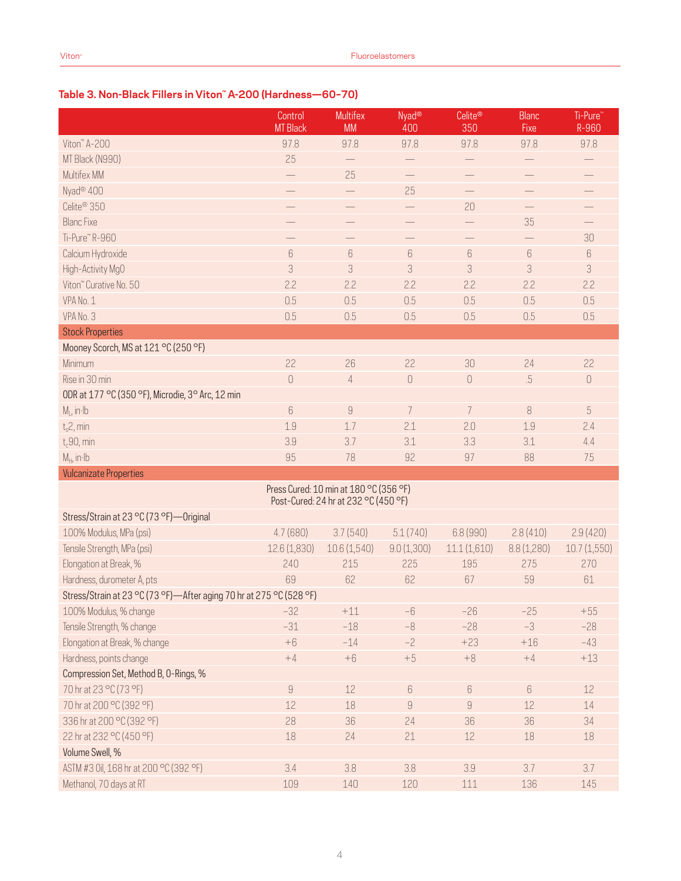# **Table 3. Non-Black Fillers in Viton™ A-200 (Hardness—60–70)**

|                                                                                | Control<br><b>MT Black</b>                                                                                                                                                                                                                                                                                                                                                                                                                                    | <b>Multifex</b><br><b>MM</b> | Nyad <sup>®</sup><br>400         | Celite®<br>350   | <b>Blanc</b><br>Fixe | Ti-Pure"<br>R-960               |
|--------------------------------------------------------------------------------|---------------------------------------------------------------------------------------------------------------------------------------------------------------------------------------------------------------------------------------------------------------------------------------------------------------------------------------------------------------------------------------------------------------------------------------------------------------|------------------------------|----------------------------------|------------------|----------------------|---------------------------------|
| Viton" A-200                                                                   | 97.8                                                                                                                                                                                                                                                                                                                                                                                                                                                          | 97.8                         | 97.8                             | 97.8             | 97.8                 | 97.8                            |
| MT Black (N990)                                                                | 25                                                                                                                                                                                                                                                                                                                                                                                                                                                            |                              |                                  |                  |                      |                                 |
| Multifex MM                                                                    |                                                                                                                                                                                                                                                                                                                                                                                                                                                               | 25                           |                                  |                  |                      |                                 |
| Nyad <sup>®</sup> 400                                                          | $\overline{\phantom{0}}$                                                                                                                                                                                                                                                                                                                                                                                                                                      | $\qquad \qquad -$            | 25                               |                  | $\qquad \qquad -$    | $\qquad \qquad -$               |
| Celite <sup>®</sup> 350                                                        |                                                                                                                                                                                                                                                                                                                                                                                                                                                               |                              |                                  | 20               |                      |                                 |
| <b>Blanc Fixe</b>                                                              |                                                                                                                                                                                                                                                                                                                                                                                                                                                               |                              |                                  |                  | 35                   |                                 |
| Ti-Pure™R-960                                                                  |                                                                                                                                                                                                                                                                                                                                                                                                                                                               |                              |                                  |                  |                      | 30                              |
| Calcium Hydroxide                                                              | 6                                                                                                                                                                                                                                                                                                                                                                                                                                                             | $6\,$                        | $\boldsymbol{6}$                 | $\boldsymbol{6}$ | $\boldsymbol{6}$     | $6\,$                           |
| High-Activity MgO                                                              | 3                                                                                                                                                                                                                                                                                                                                                                                                                                                             | 3                            | 3                                | 3                | 3                    | 3                               |
| Viton" Curative No. 50                                                         | 2.2                                                                                                                                                                                                                                                                                                                                                                                                                                                           | 2.2                          | 2.2                              | 2.2              | 2.2                  | 2.2                             |
| VPA No. 1                                                                      | 0.5                                                                                                                                                                                                                                                                                                                                                                                                                                                           | 0.5                          | 0.5                              | 0.5              | 0.5                  | 0.5                             |
| VPA No. 3                                                                      | 0.5                                                                                                                                                                                                                                                                                                                                                                                                                                                           | 0.5                          | 0.5                              | 0.5              | 0.5                  | 0.5                             |
| <b>Stock Properties</b>                                                        |                                                                                                                                                                                                                                                                                                                                                                                                                                                               |                              |                                  |                  |                      |                                 |
| Mooney Scorch, MS at 121 °C (250 °F)                                           |                                                                                                                                                                                                                                                                                                                                                                                                                                                               |                              |                                  |                  |                      |                                 |
| Minimum                                                                        | 22                                                                                                                                                                                                                                                                                                                                                                                                                                                            | 26                           | 22                               | 30               | 24                   | 22                              |
| Rise in 30 min                                                                 | $\mathbf 0$                                                                                                                                                                                                                                                                                                                                                                                                                                                   | 4                            | $\begin{array}{c} \n\end{array}$ | $\cup$           | $.5\,$               | $\begin{matrix} 0 \end{matrix}$ |
| ODR at 177 °C (350 °F), Microdie, 3° Arc, 12 min                               |                                                                                                                                                                                                                                                                                                                                                                                                                                                               |                              |                                  |                  |                      |                                 |
| $M1$ , in Ib                                                                   | 6                                                                                                                                                                                                                                                                                                                                                                                                                                                             | 9                            | 7                                | 7                | 8                    | $\overline{5}$                  |
| $t_s$ 2, min                                                                   | 1.9                                                                                                                                                                                                                                                                                                                                                                                                                                                           | 1.7                          | 2.1                              | 2.0              | 1.9                  | 2.4                             |
| $t_c$ 90, min                                                                  | 3.9                                                                                                                                                                                                                                                                                                                                                                                                                                                           | 3.7                          | 3.1                              | 3.3              | 3.1                  | 4.4                             |
| $M_{H}$ , in Ib                                                                | 95                                                                                                                                                                                                                                                                                                                                                                                                                                                            | 78                           | 92                               | 97               | 88                   | 75                              |
| <b>Vulcanizate Properties</b>                                                  |                                                                                                                                                                                                                                                                                                                                                                                                                                                               |                              |                                  |                  |                      |                                 |
| Press Cured: 10 min at 180 °C (356 °F)<br>Post-Cured: 24 hr at 232 °C (450 °F) |                                                                                                                                                                                                                                                                                                                                                                                                                                                               |                              |                                  |                  |                      |                                 |
| Stress/Strain at 23 °C (73 °F) - Original                                      |                                                                                                                                                                                                                                                                                                                                                                                                                                                               |                              |                                  |                  |                      |                                 |
| 100% Modulus, MPa (psi)                                                        | 4.7(680)                                                                                                                                                                                                                                                                                                                                                                                                                                                      | 3.7(540)                     | 5.1(740)                         | 6.8(990)         | 2.8(410)             | 2.9(420)                        |
| Tensile Strength, MPa (psi)                                                    | 12.6(1,830)                                                                                                                                                                                                                                                                                                                                                                                                                                                   | 10.6(1,540)                  | 9.0(1,300)                       | 11.1(1,610)      | 8.8(1,280)           | 10.7(1,550)                     |
| Elongation at Break, %                                                         | 240                                                                                                                                                                                                                                                                                                                                                                                                                                                           | 215                          | 225                              | 195              | 275                  | 270                             |
| Hardness, durometer A, pts                                                     | 69                                                                                                                                                                                                                                                                                                                                                                                                                                                            | 62                           | 62                               | 67               | 59                   | 61                              |
| Stress/Strain at 23 °C (73 °F)-After aging 70 hr at 275 °C (528 °F)            |                                                                                                                                                                                                                                                                                                                                                                                                                                                               |                              |                                  |                  |                      |                                 |
| 100% Modulus, % change                                                         | $-32$                                                                                                                                                                                                                                                                                                                                                                                                                                                         | $+11$                        | $-6$                             | $-26$            | $-25$                | $+55$                           |
| Tensile Strength, % change                                                     | $-31$                                                                                                                                                                                                                                                                                                                                                                                                                                                         | $-18$                        | $-8$                             | $-28$            | $-3$                 | $-28$                           |
| Elongation at Break, % change                                                  | $+6$                                                                                                                                                                                                                                                                                                                                                                                                                                                          | $-14$                        | $-2$                             | $+23$            | $+16$                | $-43$                           |
| Hardness, points change                                                        | $+4$                                                                                                                                                                                                                                                                                                                                                                                                                                                          | $+6$                         | $+5$                             | $+8$             | $+4$                 | $+13$                           |
| Compression Set, Method B, O-Rings, %                                          |                                                                                                                                                                                                                                                                                                                                                                                                                                                               |                              |                                  |                  |                      |                                 |
| 70 hr at 23 °C (73 °F)                                                         | $\mathcal{G}% =\mathcal{G}_{1}\mathcal{G}_{1}\mathcal{G}_{2}\mathcal{G}_{3}\mathcal{G}_{4} \mathcal{G}_{5} \mathcal{G}_{6} \mathcal{G}_{7} \mathcal{G}_{8} \mathcal{G}_{9} \mathcal{G}_{9} \mathcal{G}_{9} \mathcal{G}_{9} \mathcal{G}_{9} \mathcal{G}_{9} \mathcal{G}_{9} \mathcal{G}_{9} \mathcal{G}_{9} \mathcal{G}_{9} \mathcal{G}_{9} \mathcal{G}_{9} \mathcal{G}_{9} \mathcal{G}_{9} \mathcal{G}_{9} \mathcal{G}_{9} \mathcal{G}_{9} \mathcal{G}_{9} \$ | $12$                         | $6\,$                            | $6\,$            | $6\,$                | 12                              |
| 70 hr at 200 °C (392 °F)                                                       | 12                                                                                                                                                                                                                                                                                                                                                                                                                                                            | 18                           | $\hbox{9}$                       | $\hbox{9}$       | 12                   | $14\,$                          |
| 336 hr at 200 °C (392 °F)                                                      | 28                                                                                                                                                                                                                                                                                                                                                                                                                                                            | 36                           | 24                               | 36               | 36                   | 34                              |
| 22 hr at 232 °C (450 °F)                                                       | 18                                                                                                                                                                                                                                                                                                                                                                                                                                                            | 24                           | 21                               | $12$             | 18                   | 18                              |
| Volume Swell, %                                                                |                                                                                                                                                                                                                                                                                                                                                                                                                                                               |                              |                                  |                  |                      |                                 |
| ASTM #3 0il, 168 hr at 200 °C (392 °F)                                         | 3.4                                                                                                                                                                                                                                                                                                                                                                                                                                                           | 3.8                          | 3.8                              | 3.9              | 3.7                  | 3.7                             |
| Methanol, 70 days at RT                                                        | 109                                                                                                                                                                                                                                                                                                                                                                                                                                                           | 140                          | 120                              | 111              | 136                  | 145                             |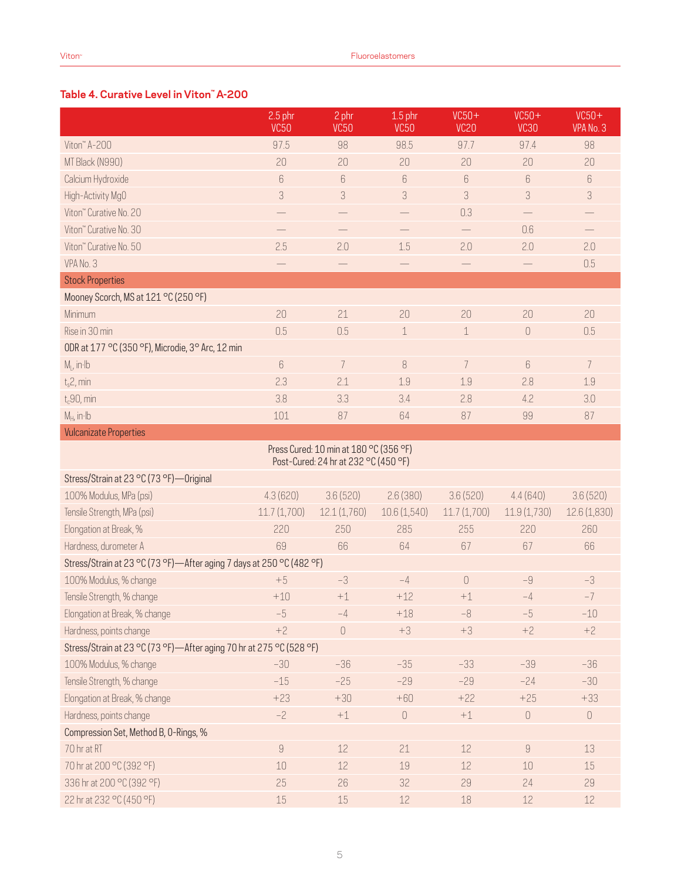# **Table 4. Curative Level in Viton™ A-200**

|                                                                        | $2.5$ phr<br><b>VC50</b> | 2 phr<br><b>VC50</b>                                                           | $1.5$ phr<br><b>VC50</b> | $VC50+$<br>VC <sub>20</sub>          | $VC50+$<br><b>VC30</b>   | $VC50+$<br>VPA No. 3       |  |
|------------------------------------------------------------------------|--------------------------|--------------------------------------------------------------------------------|--------------------------|--------------------------------------|--------------------------|----------------------------|--|
| Viton" A-200                                                           | 97.5                     | 98                                                                             | 98.5                     | 97.7                                 | 97.4                     | 98                         |  |
| MT Black (N990)                                                        | 20                       | 20                                                                             | 20                       | 20                                   | 20                       | 20                         |  |
| Calcium Hydroxide                                                      | 6                        | $\,6$                                                                          | 6                        | $6\,$                                | 6                        | $6\,$                      |  |
| High-Activity MgO                                                      | 3                        | 3                                                                              | 3                        | 3                                    | 3                        | $\ensuremath{\mathcal{S}}$ |  |
| Viton" Curative No. 20                                                 |                          |                                                                                |                          | 0.3                                  |                          |                            |  |
| Viton" Curative No. 30                                                 | $\overline{\phantom{0}}$ | $\qquad \qquad -$                                                              | $\qquad \qquad -$        | $\overline{\phantom{0}}$             | 0.6                      | $\overline{\phantom{0}}$   |  |
| Viton" Curative No. 50                                                 | 2.5                      | 2.0                                                                            | 1.5                      | 2.0                                  | 2.0                      | 2.0                        |  |
| VPA No. 3                                                              |                          | $\qquad \qquad -$                                                              | $\overline{\phantom{0}}$ | $\overline{\phantom{0}}$             | $\overline{\phantom{0}}$ | 0.5                        |  |
| <b>Stock Properties</b>                                                |                          |                                                                                |                          |                                      |                          |                            |  |
| Mooney Scorch, MS at 121 °C (250 °F)                                   |                          |                                                                                |                          |                                      |                          |                            |  |
| Minimum                                                                | 20                       | 21                                                                             | 20                       | 20                                   | 20                       | 20                         |  |
| Rise in 30 min                                                         | 0.5                      | 0.5                                                                            | $\mathbf 1$              | $\mathbf 1$                          | $\overline{0}$           | 0.5                        |  |
| ODR at 177 °C (350 °F), Microdie, 3° Arc, 12 min                       |                          |                                                                                |                          |                                      |                          |                            |  |
| $M1$ , in Ib                                                           | 6                        | $\overline{7}$                                                                 | 8                        | $\overline{7}$                       | 6                        | $\overline{7}$             |  |
| $t_s$ 2, min                                                           | 2.3                      | 2.1                                                                            | 1.9                      | 1.9                                  | 2.8                      | 1.9                        |  |
| $t_c90$ , min                                                          | 3.8                      | 3.3                                                                            | 3.4                      | 2.8                                  | 4.2                      | 3.0                        |  |
| $M_H$ , in $H$                                                         | 101                      | 87                                                                             | 64                       | 87                                   | 99                       | 87                         |  |
| <b>Vulcanizate Properties</b>                                          |                          |                                                                                |                          |                                      |                          |                            |  |
|                                                                        |                          | Press Cured: 10 min at 180 °C (356 °F)<br>Post-Cured: 24 hr at 232 °C (450 °F) |                          |                                      |                          |                            |  |
| Stress/Strain at 23 °C (73 °F) - Original                              |                          |                                                                                |                          |                                      |                          |                            |  |
| 100% Modulus, MPa (psi)                                                | 4.3(620)                 | 3.6(520)                                                                       | 2.6(380)                 | 3.6(520)                             | 4.4(640)                 | 3.6(520)                   |  |
| Tensile Strength, MPa (psi)                                            | 11.7(1,700)              | 12.1 (1,760)                                                                   | 10.6(1,540)              | 11.7(1,700)                          | 11.9(1,730)              | 12.6 (1,830)               |  |
| Elongation at Break, %                                                 | 220                      | 250                                                                            | 285                      | 255                                  | 220                      | 260                        |  |
| Hardness, durometer A                                                  | 69                       | 66                                                                             | 64                       | 67                                   | 67                       | 66                         |  |
| Stress/Strain at 23 °C (73 °F) - After aging 7 days at 250 °C (482 °F) |                          |                                                                                |                          |                                      |                          |                            |  |
| 100% Modulus, % change                                                 | $+5$                     | $-3$                                                                           | $-4$                     | $\begin{matrix} 0 \\ 0 \end{matrix}$ | $-9$                     | $-3$                       |  |
| Tensile Strength, % change                                             | $+10$                    | $+1$                                                                           | $+12$                    | $+1$                                 | $-4$                     | $-7$                       |  |
| Elongation at Break, % change                                          | $-5$                     | $-4$                                                                           | $+18$                    | $-8$                                 | $-5$                     | $-10$                      |  |
| Hardness, points change                                                | $+2$                     | $\theta$                                                                       | $+3$                     | $+3$                                 | $+2$                     | $+2$                       |  |
| Stress/Strain at 23 °C (73 °F)-After aging 70 hr at 275 °C (528 °F)    |                          |                                                                                |                          |                                      |                          |                            |  |
| 100% Modulus, % change                                                 | $-30$                    | $-36$                                                                          | $-35$                    | $-33$                                | $-39$                    | $-36$                      |  |
| Tensile Strength, % change                                             | $-15$                    | $-25$                                                                          | $-29$                    | $-29$                                | $-24$                    | $-30$                      |  |
| Elongation at Break, % change                                          | $+23$                    | $+30$                                                                          | $+60$                    | $+22$                                | $+25$                    | $+33$                      |  |
| Hardness, points change                                                | $-2$                     | $^{\rm +1}$                                                                    | $\mathbb O$              | $+1$                                 | $\mathbb O$              | $\bigcirc$                 |  |
| Compression Set, Method B, O-Rings, %                                  |                          |                                                                                |                          |                                      |                          |                            |  |
| 70 hr at RT                                                            | $\hbox{g}$               | $12$                                                                           | 21                       | 12                                   | $\hbox{g}$               | 13                         |  |
| 70 hr at 200 °C (392 °F)                                               | $10\,$                   | 12                                                                             | 19                       | 12                                   | 10                       | $15\,$                     |  |
| 336 hr at 200 °C (392 °F)                                              | 25                       | 26                                                                             | 32                       | 29                                   | 24                       | 29                         |  |
| 22 hr at 232 °C (450 °F)                                               | $15\,$                   | 15                                                                             | $12$                     | 18                                   | 12                       | $12\,$                     |  |